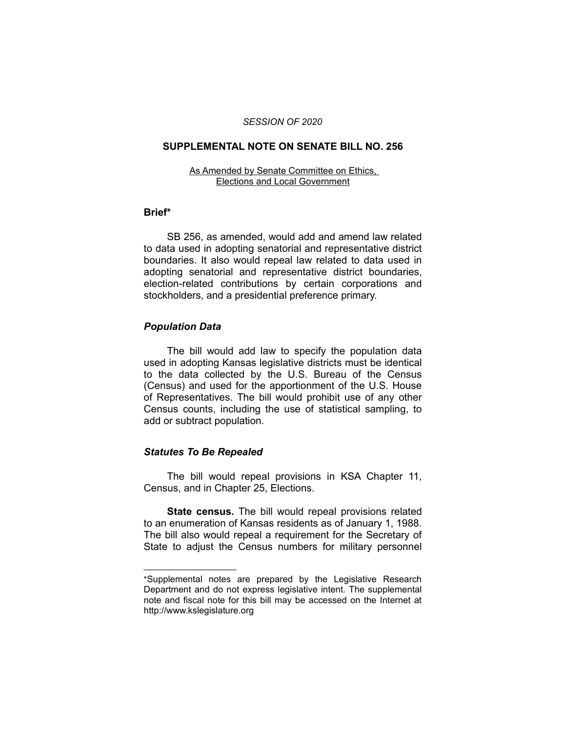#### *SESSION OF 2020*

#### **SUPPLEMENTAL NOTE ON SENATE BILL NO. 256**

#### As Amended by Senate Committee on Ethics, Elections and Local Government

# **Brief\***

SB 256, as amended, would add and amend law related to data used in adopting senatorial and representative district boundaries. It also would repeal law related to data used in adopting senatorial and representative district boundaries, election-related contributions by certain corporations and stockholders, and a presidential preference primary.

## *Population Data*

The bill would add law to specify the population data used in adopting Kansas legislative districts must be identical to the data collected by the U.S. Bureau of the Census (Census) and used for the apportionment of the U.S. House of Representatives. The bill would prohibit use of any other Census counts, including the use of statistical sampling, to add or subtract population.

# *Statutes To Be Repealed*

 $\overline{\phantom{a}}$  , where  $\overline{\phantom{a}}$  , where  $\overline{\phantom{a}}$ 

The bill would repeal provisions in KSA Chapter 11, Census, and in Chapter 25, Elections.

**State census.** The bill would repeal provisions related to an enumeration of Kansas residents as of January 1, 1988. The bill also would repeal a requirement for the Secretary of State to adjust the Census numbers for military personnel

<sup>\*</sup>Supplemental notes are prepared by the Legislative Research Department and do not express legislative intent. The supplemental note and fiscal note for this bill may be accessed on the Internet at http://www.kslegislature.org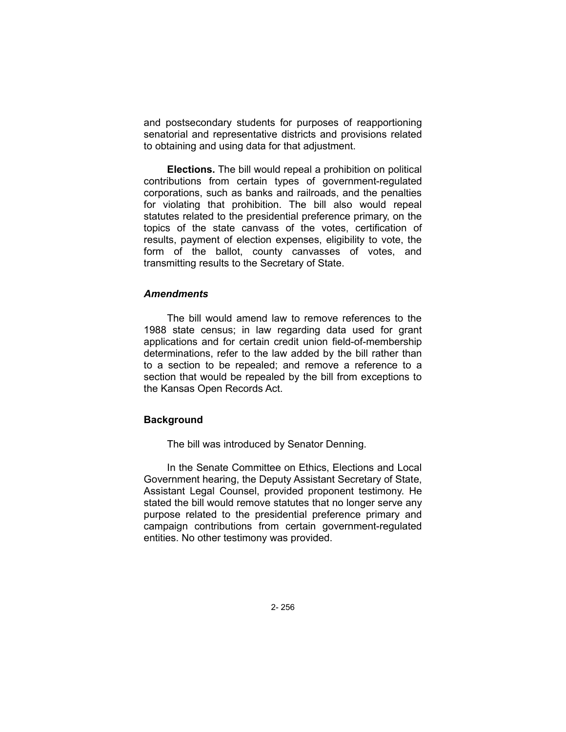and postsecondary students for purposes of reapportioning senatorial and representative districts and provisions related to obtaining and using data for that adjustment.

**Elections.** The bill would repeal a prohibition on political contributions from certain types of government-regulated corporations, such as banks and railroads, and the penalties for violating that prohibition. The bill also would repeal statutes related to the presidential preference primary, on the topics of the state canvass of the votes, certification of results, payment of election expenses, eligibility to vote, the form of the ballot, county canvasses of votes, and transmitting results to the Secretary of State.

## *Amendments*

The bill would amend law to remove references to the 1988 state census; in law regarding data used for grant applications and for certain credit union field-of-membership determinations, refer to the law added by the bill rather than to a section to be repealed; and remove a reference to a section that would be repealed by the bill from exceptions to the Kansas Open Records Act.

## **Background**

The bill was introduced by Senator Denning.

In the Senate Committee on Ethics, Elections and Local Government hearing, the Deputy Assistant Secretary of State, Assistant Legal Counsel, provided proponent testimony. He stated the bill would remove statutes that no longer serve any purpose related to the presidential preference primary and campaign contributions from certain government-regulated entities. No other testimony was provided.